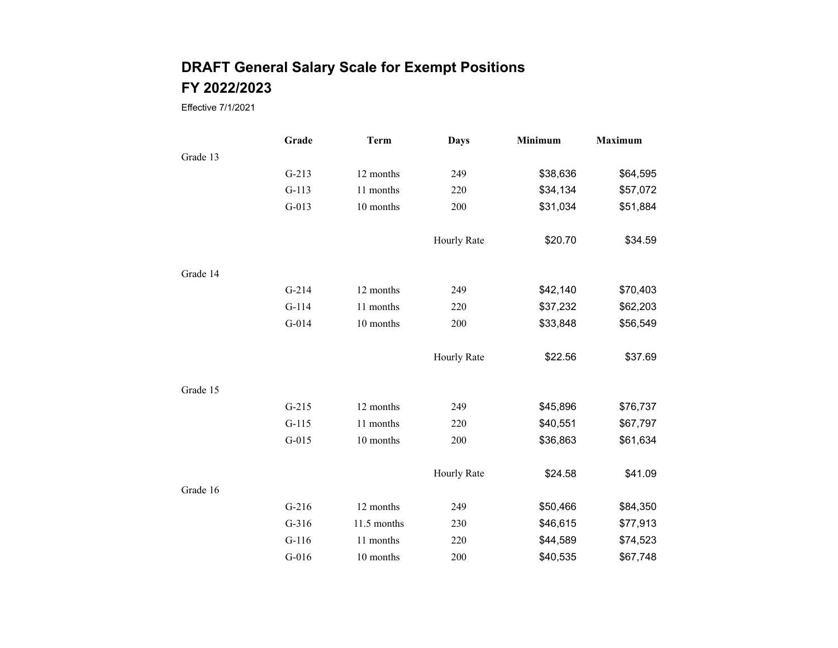|          | Grade   | <b>Term</b> | <b>Days</b> | Minimum  | <b>Maximum</b> |
|----------|---------|-------------|-------------|----------|----------------|
| Grade 13 |         |             |             |          |                |
|          | $G-213$ | 12 months   | 249         | \$38,636 | \$64,595       |
|          | $G-113$ | 11 months   | 220         | \$34,134 | \$57,072       |
|          | $G-013$ | 10 months   | 200         | \$31,034 | \$51,884       |
|          |         |             | Hourly Rate | \$20.70  | \$34.59        |
| Grade 14 |         |             |             |          |                |
|          | $G-214$ | 12 months   | 249         | \$42,140 | \$70,403       |
|          | $G-114$ | 11 months   | 220         | \$37,232 | \$62,203       |
|          | $G-014$ | 10 months   | 200         | \$33,848 | \$56,549       |
|          |         |             | Hourly Rate | \$22.56  | \$37.69        |
| Grade 15 |         |             |             |          |                |
|          | $G-215$ | 12 months   | 249         | \$45,896 | \$76,737       |
|          | $G-115$ | 11 months   | 220         | \$40,551 | \$67,797       |
|          | $G-015$ | 10 months   | 200         | \$36,863 | \$61,634       |
|          |         |             | Hourly Rate | \$24.58  | \$41.09        |
| Grade 16 |         |             |             |          |                |
|          | $G-216$ | 12 months   | 249         | \$50,466 | \$84,350       |
|          | $G-316$ | 11.5 months | 230         | \$46,615 | \$77,913       |
|          | $G-116$ | 11 months   | 220         | \$44,589 | \$74,523       |
|          | $G-016$ | 10 months   | 200         | \$40,535 | \$67,748       |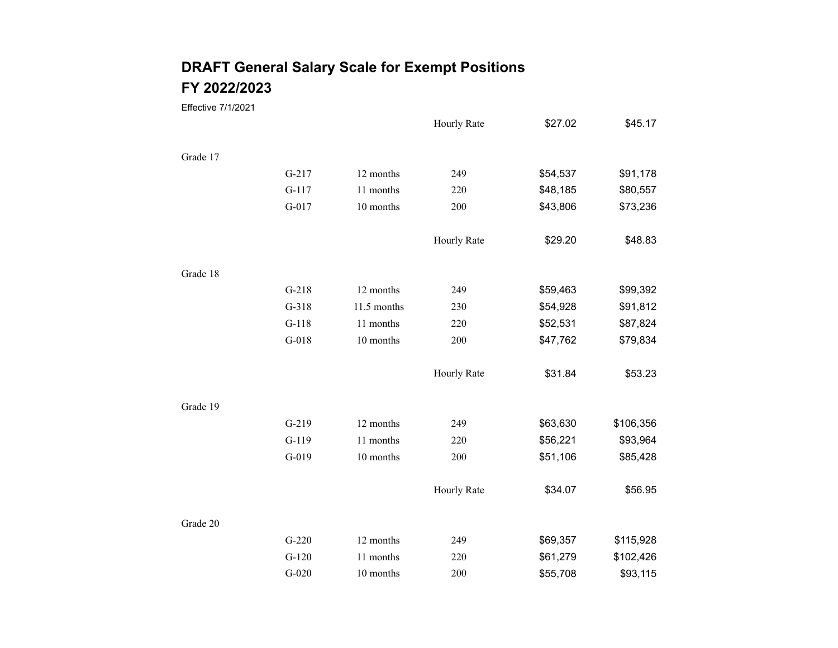|          |         |             | Hourly Rate | \$27.02  | \$45.17   |
|----------|---------|-------------|-------------|----------|-----------|
|          |         |             |             |          |           |
| Grade 17 |         |             |             |          |           |
|          | $G-217$ | 12 months   | 249         | \$54,537 | \$91,178  |
|          | $G-117$ | 11 months   | 220         | \$48,185 | \$80,557  |
|          | $G-017$ | 10 months   | 200         | \$43,806 | \$73,236  |
|          |         |             | Hourly Rate | \$29.20  | \$48.83   |
| Grade 18 |         |             |             |          |           |
|          | $G-218$ | 12 months   | 249         | \$59,463 | \$99,392  |
|          | $G-318$ | 11.5 months | 230         | \$54,928 | \$91,812  |
|          | $G-118$ | 11 months   | 220         | \$52,531 | \$87,824  |
|          | $G-018$ | 10 months   | 200         | \$47,762 | \$79,834  |
|          |         |             | Hourly Rate | \$31.84  | \$53.23   |
| Grade 19 |         |             |             |          |           |
|          | $G-219$ | 12 months   | 249         | \$63,630 | \$106,356 |
|          | $G-119$ | 11 months   | 220         | \$56,221 | \$93,964  |
|          | $G-019$ | 10 months   | 200         | \$51,106 | \$85,428  |
|          |         |             | Hourly Rate | \$34.07  | \$56.95   |
| Grade 20 |         |             |             |          |           |
|          | $G-220$ | 12 months   | 249         | \$69,357 | \$115,928 |
|          | $G-120$ | 11 months   | 220         | \$61,279 | \$102,426 |
|          | $G-020$ | 10 months   | 200         | \$55,708 | \$93,115  |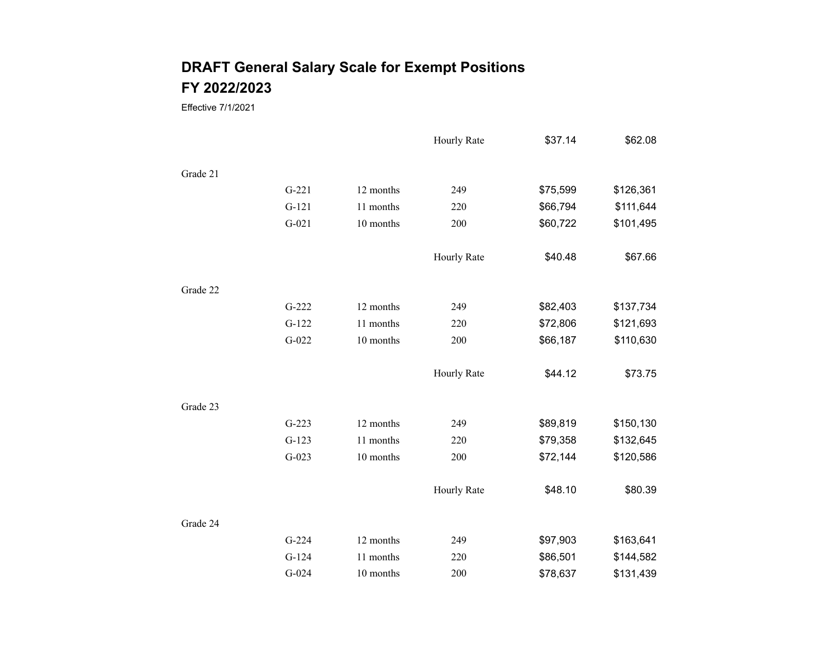|          |         |           | Hourly Rate | \$37.14  | \$62.08   |
|----------|---------|-----------|-------------|----------|-----------|
| Grade 21 |         |           |             |          |           |
|          | $G-221$ | 12 months | 249         | \$75,599 | \$126,361 |
|          | $G-121$ | 11 months | 220         | \$66,794 | \$111,644 |
|          | $G-021$ | 10 months | 200         | \$60,722 | \$101,495 |
|          |         |           | Hourly Rate | \$40.48  | \$67.66   |
| Grade 22 |         |           |             |          |           |
|          | $G-222$ | 12 months | 249         | \$82,403 | \$137,734 |
|          | $G-122$ | 11 months | 220         | \$72,806 | \$121,693 |
|          | $G-022$ | 10 months | 200         | \$66,187 | \$110,630 |
|          |         |           | Hourly Rate | \$44.12  | \$73.75   |
| Grade 23 |         |           |             |          |           |
|          | $G-223$ | 12 months | 249         | \$89,819 | \$150,130 |
|          | $G-123$ | 11 months | 220         | \$79,358 | \$132,645 |
|          | $G-023$ | 10 months | 200         | \$72,144 | \$120,586 |
|          |         |           | Hourly Rate | \$48.10  | \$80.39   |
| Grade 24 |         |           |             |          |           |
|          | $G-224$ | 12 months | 249         | \$97,903 | \$163,641 |
|          | $G-124$ | 11 months | 220         | \$86,501 | \$144,582 |
|          | $G-024$ | 10 months | 200         | \$78,637 | \$131,439 |